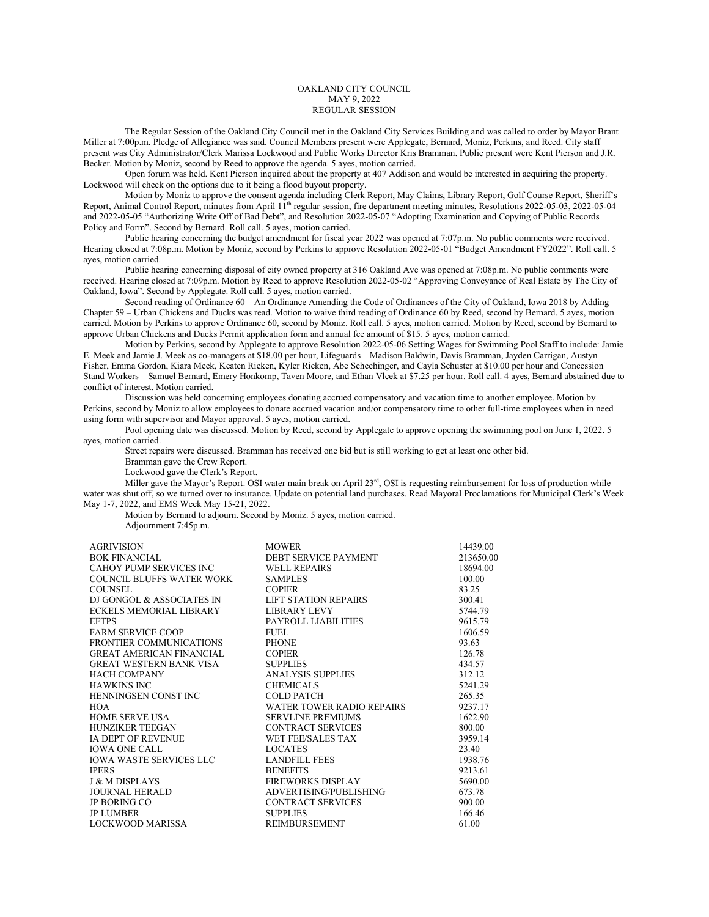## OAKLAND CITY COUNCIL MAY 9, 2022 REGULAR SESSION

The Regular Session of the Oakland City Council met in the Oakland City Services Building and was called to order by Mayor Brant Miller at 7:00p.m. Pledge of Allegiance was said. Council Members present were Applegate, Bernard, Moniz, Perkins, and Reed. City staff present was City Administrator/Clerk Marissa Lockwood and Public Works Director Kris Bramman. Public present were Kent Pierson and J.R. Becker. Motion by Moniz, second by Reed to approve the agenda. 5 ayes, motion carried.

Open forum was held. Kent Pierson inquired about the property at 407 Addison and would be interested in acquiring the property. Lockwood will check on the options due to it being a flood buyout property.

Motion by Moniz to approve the consent agenda including Clerk Report, May Claims, Library Report, Golf Course Report, Sheriff's Report, Animal Control Report, minutes from April 11<sup>th</sup> regular session, fire department meeting minutes, Resolutions 2022-05-03, 2022-05-04 and 2022-05-05 "Authorizing Write Off of Bad Debt", and Resolution 2022-05-07 "Adopting Examination and Copying of Public Records Policy and Form". Second by Bernard. Roll call. 5 ayes, motion carried.

Public hearing concerning the budget amendment for fiscal year 2022 was opened at 7:07p.m. No public comments were received. Hearing closed at 7:08p.m. Motion by Moniz, second by Perkins to approve Resolution 2022-05-01 "Budget Amendment FY2022". Roll call. 5 ayes, motion carried.

Public hearing concerning disposal of city owned property at 316 Oakland Ave was opened at 7:08p.m. No public comments were received. Hearing closed at 7:09p.m. Motion by Reed to approve Resolution 2022-05-02 "Approving Conveyance of Real Estate by The City of Oakland, Iowa". Second by Applegate. Roll call. 5 ayes, motion carried.

Second reading of Ordinance 60 – An Ordinance Amending the Code of Ordinances of the City of Oakland, Iowa 2018 by Adding Chapter 59 – Urban Chickens and Ducks was read. Motion to waive third reading of Ordinance 60 by Reed, second by Bernard. 5 ayes, motion carried. Motion by Perkins to approve Ordinance 60, second by Moniz. Roll call. 5 ayes, motion carried. Motion by Reed, second by Bernard to approve Urban Chickens and Ducks Permit application form and annual fee amount of \$15. 5 ayes, motion carried.

Motion by Perkins, second by Applegate to approve Resolution 2022-05-06 Setting Wages for Swimming Pool Staff to include: Jamie E. Meek and Jamie J. Meek as co-managers at \$18.00 per hour, Lifeguards – Madison Baldwin, Davis Bramman, Jayden Carrigan, Austyn Fisher, Emma Gordon, Kiara Meek, Keaten Rieken, Kyler Rieken, Abe Schechinger, and Cayla Schuster at \$10.00 per hour and Concession Stand Workers – Samuel Bernard, Emery Honkomp, Taven Moore, and Ethan Vlcek at \$7.25 per hour. Roll call. 4 ayes, Bernard abstained due to conflict of interest. Motion carried.

Discussion was held concerning employees donating accrued compensatory and vacation time to another employee. Motion by Perkins, second by Moniz to allow employees to donate accrued vacation and/or compensatory time to other full-time employees when in need using form with supervisor and Mayor approval. 5 ayes, motion carried.

Pool opening date was discussed. Motion by Reed, second by Applegate to approve opening the swimming pool on June 1, 2022. 5 ayes, motion carried.

Street repairs were discussed. Bramman has received one bid but is still working to get at least one other bid.

Bramman gave the Crew Report.

Lockwood gave the Clerk's Report.

Miller gave the Mayor's Report. OSI water main break on April 23<sup>rd</sup>, OSI is requesting reimbursement for loss of production while water was shut off, so we turned over to insurance. Update on potential land purchases. Read Mayoral Proclamations for Municipal Clerk's Week May 1-7, 2022, and EMS Week May 15-21, 2022.

Motion by Bernard to adjourn. Second by Moniz. 5 ayes, motion carried. Adjournment 7:45p.m.

| <b>AGRIVISION</b>               | <b>MOWER</b>                | 14439.00  |
|---------------------------------|-----------------------------|-----------|
| <b>BOK FINANCIAL</b>            | DEBT SERVICE PAYMENT        | 213650.00 |
| CAHOY PUMP SERVICES INC         | <b>WELL REPAIRS</b>         | 18694.00  |
| COUNCIL BLUFFS WATER WORK       | <b>SAMPLES</b>              | 100.00    |
| COUNSEL.                        | <b>COPIER</b>               | 83.25     |
| DJ GONGOL & ASSOCIATES IN       | <b>LIFT STATION REPAIRS</b> | 300.41    |
| ECKELS MEMORIAL LIBRARY         | <b>LIBRARY LEVY</b>         | 5744.79   |
| <b>EFTPS</b>                    | PAYROLL LIABILITIES         | 9615.79   |
| <b>FARM SERVICE COOP</b>        | FUEL.                       | 1606.59   |
| FRONTIER COMMUNICATIONS         | <b>PHONE</b>                | 93.63     |
| <b>GREAT AMERICAN FINANCIAL</b> | <b>COPIER</b>               | 126.78    |
| GREAT WESTERN BANK VISA         | <b>SUPPLIES</b>             | 434.57    |
| <b>HACH COMPANY</b>             | <b>ANALYSIS SUPPLIES</b>    | 312.12    |
| <b>HAWKINS INC</b>              | <b>CHEMICALS</b>            | 5241.29   |
| HENNINGSEN CONST INC            | COLD PATCH                  | 265.35    |
| <b>HOA</b>                      | WATER TOWER RADIO REPAIRS   | 9237.17   |
| <b>HOME SERVE USA</b>           | <b>SERVLINE PREMIUMS</b>    | 1622.90   |
| <b>HUNZIKER TEEGAN</b>          | <b>CONTRACT SERVICES</b>    | 800.00    |
| IA DEPT OF REVENUE              | WET FEE/SALES TAX           | 3959.14   |
| <b>IOWA ONE CALL</b>            | <b>LOCATES</b>              | 23.40     |
| <b>IOWA WASTE SERVICES LLC</b>  | LANDFILL FEES               | 1938.76   |
| <b>IPERS</b>                    | <b>BENEFITS</b>             | 9213.61   |
| <b>J &amp; M DISPLAYS</b>       | FIREWORKS DISPLAY           | 5690.00   |
| <b>JOURNAL HERALD</b>           | ADVERTISING/PUBLISHING      | 673.78    |
| <b>JP BORING CO</b>             | <b>CONTRACT SERVICES</b>    | 900.00    |
| <b>JP LUMBER</b>                | <b>SUPPLIES</b>             | 166.46    |
| <b>LOCKWOOD MARISSA</b>         | <b>REIMBURSEMENT</b>        | 61.00     |
|                                 |                             |           |